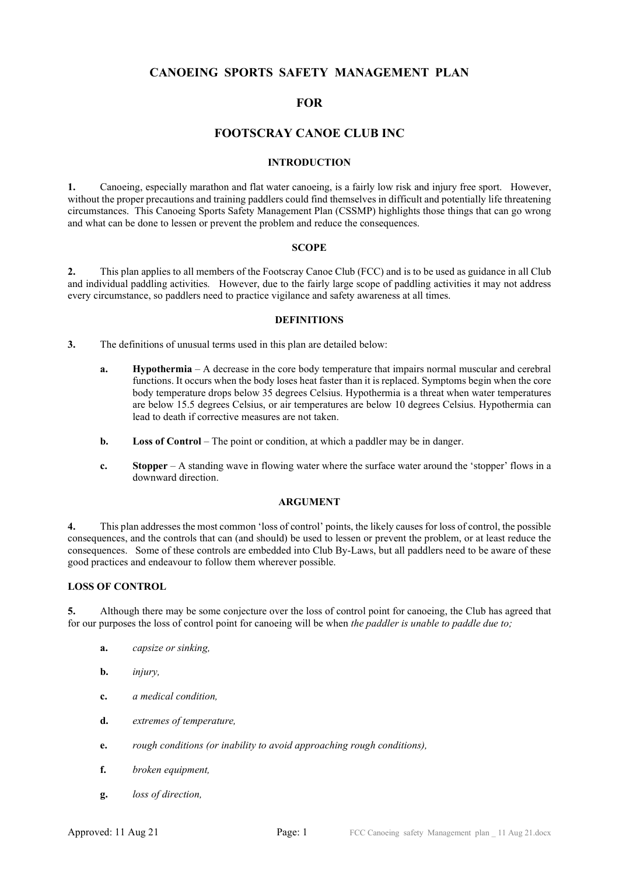# CANOEING SPORTS SAFETY MANAGEMENT PLAN

# **FOR**

# FOOTSCRAY CANOE CLUB INC

#### INTRODUCTION

1. Canoeing, especially marathon and flat water canoeing, is a fairly low risk and injury free sport. However, without the proper precautions and training paddlers could find themselves in difficult and potentially life threatening circumstances. This Canoeing Sports Safety Management Plan (CSSMP) highlights those things that can go wrong and what can be done to lessen or prevent the problem and reduce the consequences.

#### **SCOPE**

2. This plan applies to all members of the Footscray Canoe Club (FCC) and is to be used as guidance in all Club and individual paddling activities. However, due to the fairly large scope of paddling activities it may not address every circumstance, so paddlers need to practice vigilance and safety awareness at all times.

#### **DEFINITIONS**

3. The definitions of unusual terms used in this plan are detailed below:

- a. Hypothermia A decrease in the core body temperature that impairs normal muscular and cerebral functions. It occurs when the body loses heat faster than it is replaced. Symptoms begin when the core body temperature drops below 35 degrees Celsius. Hypothermia is a threat when water temperatures are below 15.5 degrees Celsius, or air temperatures are below 10 degrees Celsius. Hypothermia can lead to death if corrective measures are not taken.
- b. Loss of Control The point or condition, at which a paddler may be in danger.
- c. Stopper A standing wave in flowing water where the surface water around the 'stopper' flows in a downward direction.

#### ARGUMENT

4. This plan addresses the most common 'loss of control' points, the likely causes for loss of control, the possible consequences, and the controls that can (and should) be used to lessen or prevent the problem, or at least reduce the consequences. Some of these controls are embedded into Club By-Laws, but all paddlers need to be aware of these good practices and endeavour to follow them wherever possible.

## LOSS OF CONTROL

5. Although there may be some conjecture over the loss of control point for canoeing, the Club has agreed that for our purposes the loss of control point for canoeing will be when the paddler is unable to paddle due to;

- a. capsize or sinking,
- b. *injury*,
- c. a medical condition,
- d. extremes of temperature,
- e. rough conditions (or inability to avoid approaching rough conditions),
- f. broken equipment,
- g. loss of direction,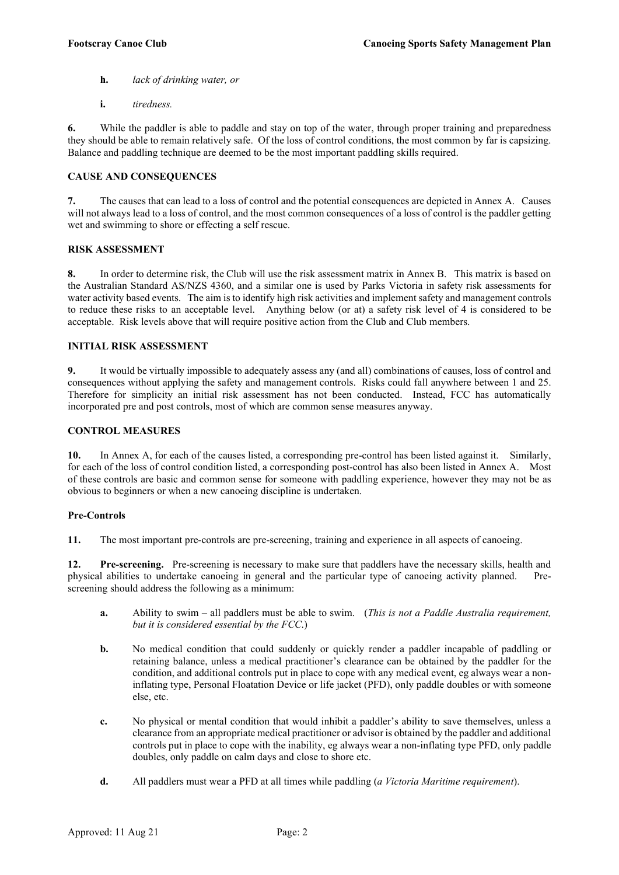- h. lack of drinking water, or
- i. tiredness.

6. While the paddler is able to paddle and stay on top of the water, through proper training and preparedness they should be able to remain relatively safe. Of the loss of control conditions, the most common by far is capsizing. Balance and paddling technique are deemed to be the most important paddling skills required.

## CAUSE AND CONSEQUENCES

7. The causes that can lead to a loss of control and the potential consequences are depicted in Annex A. Causes will not always lead to a loss of control, and the most common consequences of a loss of control is the paddler getting wet and swimming to shore or effecting a self rescue.

#### RISK ASSESSMENT

8. In order to determine risk, the Club will use the risk assessment matrix in Annex B. This matrix is based on the Australian Standard AS/NZS 4360, and a similar one is used by Parks Victoria in safety risk assessments for water activity based events. The aim is to identify high risk activities and implement safety and management controls to reduce these risks to an acceptable level. Anything below (or at) a safety risk level of 4 is considered to be acceptable. Risk levels above that will require positive action from the Club and Club members.

## INITIAL RISK ASSESSMENT

9. It would be virtually impossible to adequately assess any (and all) combinations of causes, loss of control and consequences without applying the safety and management controls. Risks could fall anywhere between 1 and 25. Therefore for simplicity an initial risk assessment has not been conducted. Instead, FCC has automatically incorporated pre and post controls, most of which are common sense measures anyway.

#### CONTROL MEASURES

10. In Annex A, for each of the causes listed, a corresponding pre-control has been listed against it. Similarly, for each of the loss of control condition listed, a corresponding post-control has also been listed in Annex A. Most of these controls are basic and common sense for someone with paddling experience, however they may not be as obvious to beginners or when a new canoeing discipline is undertaken.

#### Pre-Controls

11. The most important pre-controls are pre-screening, training and experience in all aspects of canoeing.

12. Pre-screening. Pre-screening is necessary to make sure that paddlers have the necessary skills, health and physical abilities to undertake canoeing in general and the particular type of canoeing activity planned. Prescreening should address the following as a minimum:

- a. Ability to swim all paddlers must be able to swim. (This is not a Paddle Australia requirement, but it is considered essential by the FCC.)
- b. No medical condition that could suddenly or quickly render a paddler incapable of paddling or retaining balance, unless a medical practitioner's clearance can be obtained by the paddler for the condition, and additional controls put in place to cope with any medical event, eg always wear a noninflating type, Personal Floatation Device or life jacket (PFD), only paddle doubles or with someone else, etc.
- c. No physical or mental condition that would inhibit a paddler's ability to save themselves, unless a clearance from an appropriate medical practitioner or advisor is obtained by the paddler and additional controls put in place to cope with the inability, eg always wear a non-inflating type PFD, only paddle doubles, only paddle on calm days and close to shore etc.
- d. All paddlers must wear a PFD at all times while paddling (a Victoria Maritime requirement).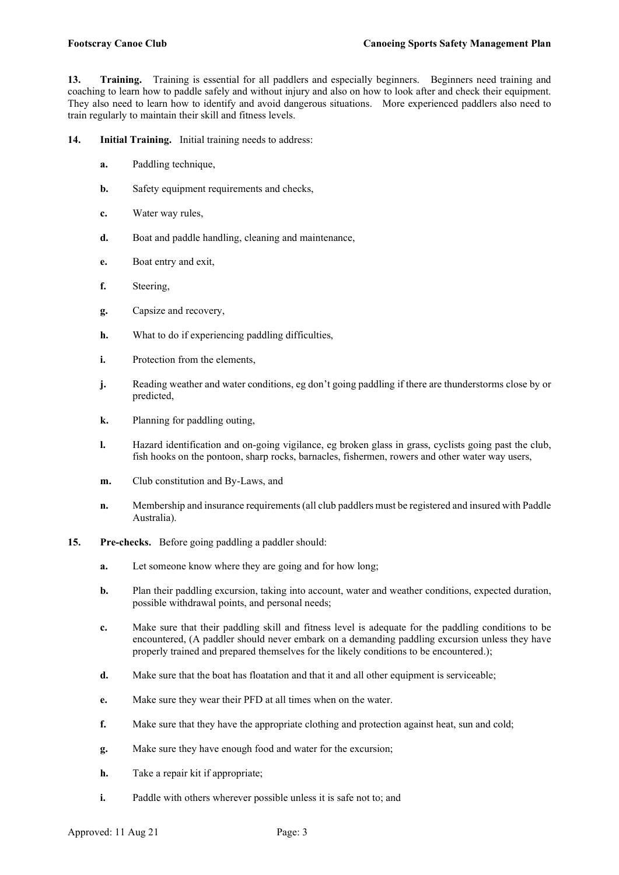13. Training. Training is essential for all paddlers and especially beginners. Beginners need training and coaching to learn how to paddle safely and without injury and also on how to look after and check their equipment. They also need to learn how to identify and avoid dangerous situations. More experienced paddlers also need to train regularly to maintain their skill and fitness levels.

14. Initial Training. Initial training needs to address:

- a. Paddling technique,
- **b.** Safety equipment requirements and checks,
- c. Water way rules,
- d. Boat and paddle handling, cleaning and maintenance,
- e. Boat entry and exit,
- f. Steering,
- g. Capsize and recovery,
- h. What to do if experiencing paddling difficulties,
- i. Protection from the elements,
- j. Reading weather and water conditions, eg don't going paddling if there are thunderstorms close by or predicted,
- k. Planning for paddling outing,
- l. Hazard identification and on-going vigilance, eg broken glass in grass, cyclists going past the club, fish hooks on the pontoon, sharp rocks, barnacles, fishermen, rowers and other water way users,
- m. Club constitution and By-Laws, and
- n. Membership and insurance requirements (all club paddlers must be registered and insured with Paddle Australia).
- 15. Pre-checks. Before going paddling a paddler should:
	- a. Let someone know where they are going and for how long;
	- b. Plan their paddling excursion, taking into account, water and weather conditions, expected duration, possible withdrawal points, and personal needs;
	- c. Make sure that their paddling skill and fitness level is adequate for the paddling conditions to be encountered, (A paddler should never embark on a demanding paddling excursion unless they have properly trained and prepared themselves for the likely conditions to be encountered.);
	- d. Make sure that the boat has floatation and that it and all other equipment is serviceable;
	- e. Make sure they wear their PFD at all times when on the water.
	- f. Make sure that they have the appropriate clothing and protection against heat, sun and cold;
	- g. Make sure they have enough food and water for the excursion;
	- h. Take a repair kit if appropriate;
	- i. Paddle with others wherever possible unless it is safe not to; and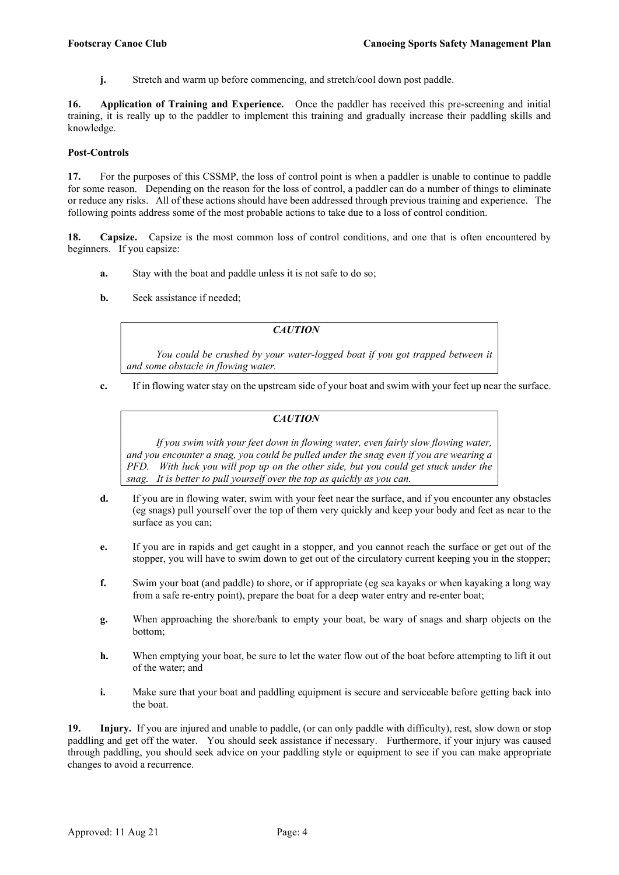**j.** Stretch and warm up before commencing, and stretch/cool down post paddle.

16. Application of Training and Experience. Once the paddler has received this pre-screening and initial training, it is really up to the paddler to implement this training and gradually increase their paddling skills and knowledge.

## Post-Controls

17. For the purposes of this CSSMP, the loss of control point is when a paddler is unable to continue to paddle for some reason. Depending on the reason for the loss of control, a paddler can do a number of things to eliminate or reduce any risks. All of these actions should have been addressed through previous training and experience. The following points address some of the most probable actions to take due to a loss of control condition.

18. Capsize. Capsize is the most common loss of control conditions, and one that is often encountered by beginners. If you capsize:

- a. Stay with the boat and paddle unless it is not safe to do so;
- b. Seek assistance if needed;

# **CAUTION**

 You could be crushed by your water-logged boat if you got trapped between it and some obstacle in flowing water.

c. If in flowing water stay on the upstream side of your boat and swim with your feet up near the surface.

## **CAUTION**

 If you swim with your feet down in flowing water, even fairly slow flowing water, and you encounter a snag, you could be pulled under the snag even if you are wearing a PFD. With luck you will pop up on the other side, but you could get stuck under the snag. It is better to pull yourself over the top as quickly as you can.

- d. If you are in flowing water, swim with your feet near the surface, and if you encounter any obstacles (eg snags) pull yourself over the top of them very quickly and keep your body and feet as near to the surface as you can;
- e. If you are in rapids and get caught in a stopper, and you cannot reach the surface or get out of the stopper, you will have to swim down to get out of the circulatory current keeping you in the stopper;
- f. Swim your boat (and paddle) to shore, or if appropriate (eg sea kayaks or when kayaking a long way from a safe re-entry point), prepare the boat for a deep water entry and re-enter boat;
- g. When approaching the shore/bank to empty your boat, be wary of snags and sharp objects on the bottom;
- h. When emptying your boat, be sure to let the water flow out of the boat before attempting to lift it out of the water; and
- i. Make sure that your boat and paddling equipment is secure and serviceable before getting back into the boat.

19. Injury. If you are injured and unable to paddle, (or can only paddle with difficulty), rest, slow down or stop paddling and get off the water. You should seek assistance if necessary. Furthermore, if your injury was caused through paddling, you should seek advice on your paddling style or equipment to see if you can make appropriate changes to avoid a recurrence.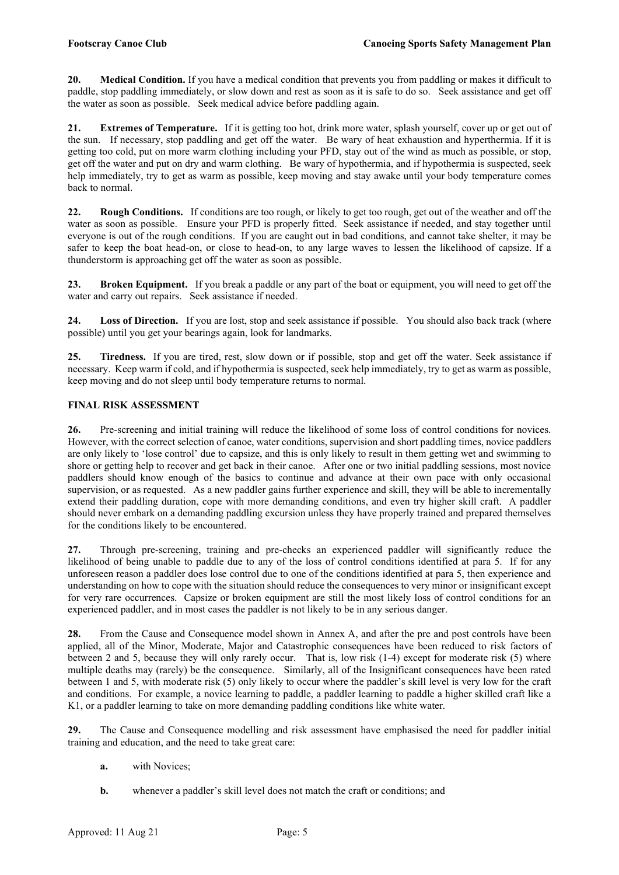20. Medical Condition. If you have a medical condition that prevents you from paddling or makes it difficult to paddle, stop paddling immediately, or slow down and rest as soon as it is safe to do so. Seek assistance and get off the water as soon as possible. Seek medical advice before paddling again.

21. Extremes of Temperature. If it is getting too hot, drink more water, splash yourself, cover up or get out of the sun. If necessary, stop paddling and get off the water. Be wary of heat exhaustion and hyperthermia. If it is getting too cold, put on more warm clothing including your PFD, stay out of the wind as much as possible, or stop, get off the water and put on dry and warm clothing. Be wary of hypothermia, and if hypothermia is suspected, seek help immediately, try to get as warm as possible, keep moving and stay awake until your body temperature comes back to normal.

22. Rough Conditions. If conditions are too rough, or likely to get too rough, get out of the weather and off the water as soon as possible. Ensure your PFD is properly fitted. Seek assistance if needed, and stay together until everyone is out of the rough conditions. If you are caught out in bad conditions, and cannot take shelter, it may be safer to keep the boat head-on, or close to head-on, to any large waves to lessen the likelihood of capsize. If a thunderstorm is approaching get off the water as soon as possible.

23. Broken Equipment. If you break a paddle or any part of the boat or equipment, you will need to get off the water and carry out repairs. Seek assistance if needed.

24. Loss of Direction. If you are lost, stop and seek assistance if possible. You should also back track (where possible) until you get your bearings again, look for landmarks.

25. Tiredness. If you are tired, rest, slow down or if possible, stop and get off the water. Seek assistance if necessary. Keep warm if cold, and if hypothermia is suspected, seek help immediately, try to get as warm as possible, keep moving and do not sleep until body temperature returns to normal.

# FINAL RISK ASSESSMENT

26. Pre-screening and initial training will reduce the likelihood of some loss of control conditions for novices. However, with the correct selection of canoe, water conditions, supervision and short paddling times, novice paddlers are only likely to 'lose control' due to capsize, and this is only likely to result in them getting wet and swimming to shore or getting help to recover and get back in their canoe. After one or two initial paddling sessions, most novice paddlers should know enough of the basics to continue and advance at their own pace with only occasional supervision, or as requested. As a new paddler gains further experience and skill, they will be able to incrementally extend their paddling duration, cope with more demanding conditions, and even try higher skill craft. A paddler should never embark on a demanding paddling excursion unless they have properly trained and prepared themselves for the conditions likely to be encountered.

27. Through pre-screening, training and pre-checks an experienced paddler will significantly reduce the likelihood of being unable to paddle due to any of the loss of control conditions identified at para 5. If for any unforeseen reason a paddler does lose control due to one of the conditions identified at para 5, then experience and understanding on how to cope with the situation should reduce the consequences to very minor or insignificant except for very rare occurrences. Capsize or broken equipment are still the most likely loss of control conditions for an experienced paddler, and in most cases the paddler is not likely to be in any serious danger.

28. From the Cause and Consequence model shown in Annex A, and after the pre and post controls have been applied, all of the Minor, Moderate, Major and Catastrophic consequences have been reduced to risk factors of between 2 and 5, because they will only rarely occur. That is, low risk (1-4) except for moderate risk (5) where multiple deaths may (rarely) be the consequence. Similarly, all of the Insignificant consequences have been rated between 1 and 5, with moderate risk (5) only likely to occur where the paddler's skill level is very low for the craft and conditions. For example, a novice learning to paddle, a paddler learning to paddle a higher skilled craft like a K1, or a paddler learning to take on more demanding paddling conditions like white water.

29. The Cause and Consequence modelling and risk assessment have emphasised the need for paddler initial training and education, and the need to take great care:

- a. with Novices;
- b. whenever a paddler's skill level does not match the craft or conditions; and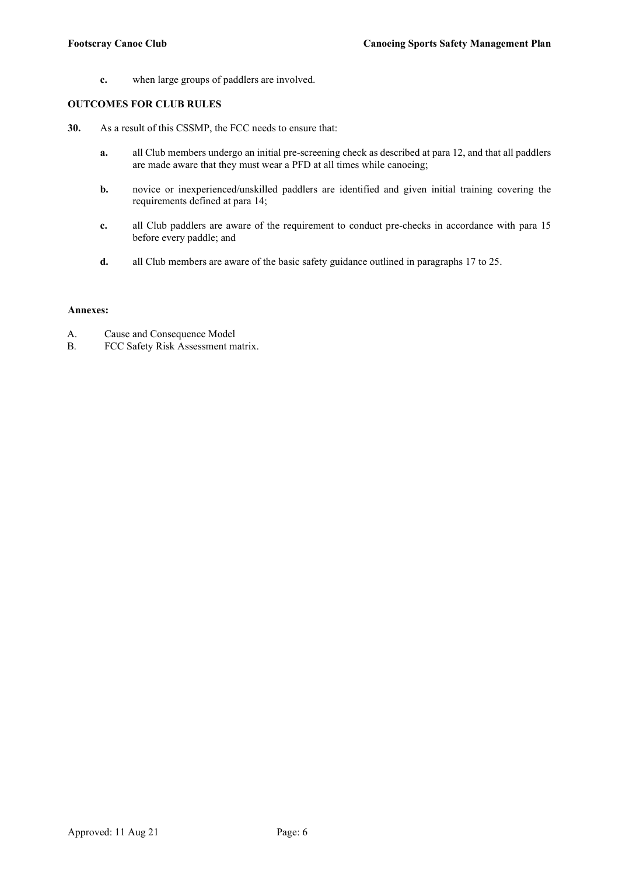c. when large groups of paddlers are involved.

## OUTCOMES FOR CLUB RULES

- 30. As a result of this CSSMP, the FCC needs to ensure that:
	- a. all Club members undergo an initial pre-screening check as described at para 12, and that all paddlers are made aware that they must wear a PFD at all times while canoeing;
	- b. novice or inexperienced/unskilled paddlers are identified and given initial training covering the requirements defined at para 14;
	- c. all Club paddlers are aware of the requirement to conduct pre-checks in accordance with para 15 before every paddle; and
	- d. all Club members are aware of the basic safety guidance outlined in paragraphs 17 to 25.

#### Annexes:

- A. Cause and Consequence Model
- B. FCC Safety Risk Assessment matrix.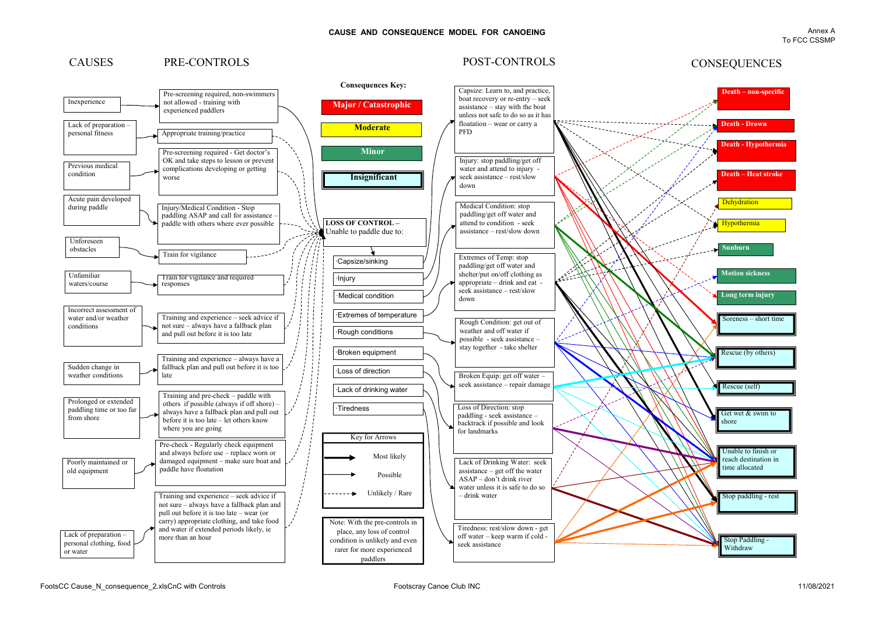